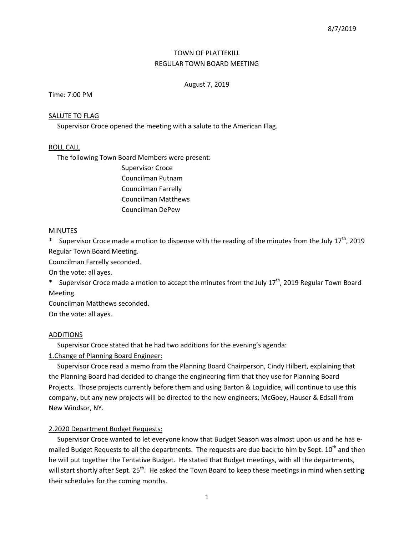# TOWN OF PLATTEKILL REGULAR TOWN BOARD MEETING

## August 7, 2019

### Time: 7:00 PM

### SALUTE TO FLAG

Supervisor Croce opened the meeting with a salute to the American Flag.

### ROLL CALL

The following Town Board Members were present:

Supervisor Croce Councilman Putnam Councilman Farrelly Councilman Matthews Councilman DePew

### **MINUTES**

\* Supervisor Croce made a motion to dispense with the reading of the minutes from the July 17<sup>th</sup>, 2019 Regular Town Board Meeting.

Councilman Farrelly seconded.

On the vote: all ayes.

\* Supervisor Croce made a motion to accept the minutes from the July 17<sup>th</sup>, 2019 Regular Town Board Meeting.

Councilman Matthews seconded.

On the vote: all ayes.

### ADDITIONS

Supervisor Croce stated that he had two additions for the evening's agenda:

## 1.Change of Planning Board Engineer:

 Supervisor Croce read a memo from the Planning Board Chairperson, Cindy Hilbert, explaining that the Planning Board had decided to change the engineering firm that they use for Planning Board Projects. Those projects currently before them and using Barton & Loguidice, will continue to use this company, but any new projects will be directed to the new engineers; McGoey, Hauser & Edsall from New Windsor, NY.

## 2.2020 Department Budget Requests:

 Supervisor Croce wanted to let everyone know that Budget Season was almost upon us and he has emailed Budget Requests to all the departments. The requests are due back to him by Sept. 10<sup>th</sup> and then he will put together the Tentative Budget. He stated that Budget meetings, with all the departments, will start shortly after Sept. 25<sup>th</sup>. He asked the Town Board to keep these meetings in mind when setting their schedules for the coming months.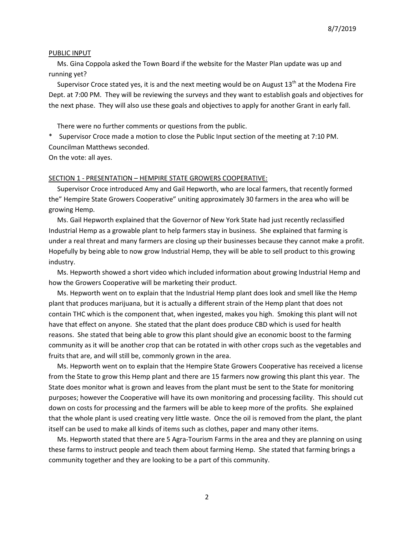#### PUBLIC INPUT

 Ms. Gina Coppola asked the Town Board if the website for the Master Plan update was up and running yet?

Supervisor Croce stated yes, it is and the next meeting would be on August  $13<sup>th</sup>$  at the Modena Fire Dept. at 7:00 PM. They will be reviewing the surveys and they want to establish goals and objectives for the next phase. They will also use these goals and objectives to apply for another Grant in early fall.

There were no further comments or questions from the public.

\* Supervisor Croce made a motion to close the Public Input section of the meeting at 7:10 PM. Councilman Matthews seconded.

On the vote: all ayes.

#### SECTION 1 - PRESENTATION – HEMPIRE STATE GROWERS COOPERATIVE:

 Supervisor Croce introduced Amy and Gail Hepworth, who are local farmers, that recently formed the" Hempire State Growers Cooperative" uniting approximately 30 farmers in the area who will be growing Hemp.

 Ms. Gail Hepworth explained that the Governor of New York State had just recently reclassified Industrial Hemp as a growable plant to help farmers stay in business. She explained that farming is under a real threat and many farmers are closing up their businesses because they cannot make a profit. Hopefully by being able to now grow Industrial Hemp, they will be able to sell product to this growing industry.

 Ms. Hepworth showed a short video which included information about growing Industrial Hemp and how the Growers Cooperative will be marketing their product.

 Ms. Hepworth went on to explain that the Industrial Hemp plant does look and smell like the Hemp plant that produces marijuana, but it is actually a different strain of the Hemp plant that does not contain THC which is the component that, when ingested, makes you high. Smoking this plant will not have that effect on anyone. She stated that the plant does produce CBD which is used for health reasons. She stated that being able to grow this plant should give an economic boost to the farming community as it will be another crop that can be rotated in with other crops such as the vegetables and fruits that are, and will still be, commonly grown in the area.

 Ms. Hepworth went on to explain that the Hempire State Growers Cooperative has received a license from the State to grow this Hemp plant and there are 15 farmers now growing this plant this year. The State does monitor what is grown and leaves from the plant must be sent to the State for monitoring purposes; however the Cooperative will have its own monitoring and processing facility. This should cut down on costs for processing and the farmers will be able to keep more of the profits. She explained that the whole plant is used creating very little waste. Once the oil is removed from the plant, the plant itself can be used to make all kinds of items such as clothes, paper and many other items.

 Ms. Hepworth stated that there are 5 Agra-Tourism Farms in the area and they are planning on using these farms to instruct people and teach them about farming Hemp. She stated that farming brings a community together and they are looking to be a part of this community.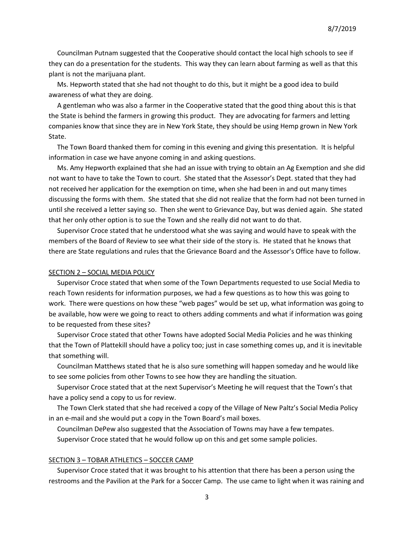Councilman Putnam suggested that the Cooperative should contact the local high schools to see if they can do a presentation for the students. This way they can learn about farming as well as that this plant is not the marijuana plant.

 Ms. Hepworth stated that she had not thought to do this, but it might be a good idea to build awareness of what they are doing.

 A gentleman who was also a farmer in the Cooperative stated that the good thing about this is that the State is behind the farmers in growing this product. They are advocating for farmers and letting companies know that since they are in New York State, they should be using Hemp grown in New York State.

 The Town Board thanked them for coming in this evening and giving this presentation. It is helpful information in case we have anyone coming in and asking questions.

 Ms. Amy Hepworth explained that she had an issue with trying to obtain an Ag Exemption and she did not want to have to take the Town to court. She stated that the Assessor's Dept. stated that they had not received her application for the exemption on time, when she had been in and out many times discussing the forms with them. She stated that she did not realize that the form had not been turned in until she received a letter saying so. Then she went to Grievance Day, but was denied again. She stated that her only other option is to sue the Town and she really did not want to do that.

 Supervisor Croce stated that he understood what she was saying and would have to speak with the members of the Board of Review to see what their side of the story is. He stated that he knows that there are State regulations and rules that the Grievance Board and the Assessor's Office have to follow.

#### SECTION 2 – SOCIAL MEDIA POLICY

 Supervisor Croce stated that when some of the Town Departments requested to use Social Media to reach Town residents for information purposes, we had a few questions as to how this was going to work. There were questions on how these "web pages" would be set up, what information was going to be available, how were we going to react to others adding comments and what if information was going to be requested from these sites?

 Supervisor Croce stated that other Towns have adopted Social Media Policies and he was thinking that the Town of Plattekill should have a policy too; just in case something comes up, and it is inevitable that something will.

 Councilman Matthews stated that he is also sure something will happen someday and he would like to see some policies from other Towns to see how they are handling the situation.

 Supervisor Croce stated that at the next Supervisor's Meeting he will request that the Town's that have a policy send a copy to us for review.

 The Town Clerk stated that she had received a copy of the Village of New Paltz's Social Media Policy in an e-mail and she would put a copy in the Town Board's mail boxes.

 Councilman DePew also suggested that the Association of Towns may have a few tempates. Supervisor Croce stated that he would follow up on this and get some sample policies.

### SECTION 3 – TOBAR ATHLETICS – SOCCER CAMP

 Supervisor Croce stated that it was brought to his attention that there has been a person using the restrooms and the Pavilion at the Park for a Soccer Camp. The use came to light when it was raining and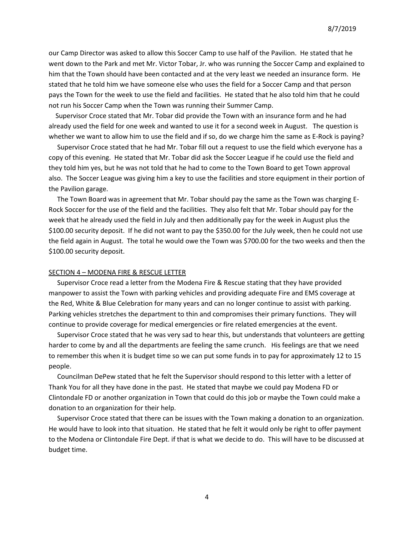our Camp Director was asked to allow this Soccer Camp to use half of the Pavilion. He stated that he went down to the Park and met Mr. Victor Tobar, Jr. who was running the Soccer Camp and explained to him that the Town should have been contacted and at the very least we needed an insurance form. He stated that he told him we have someone else who uses the field for a Soccer Camp and that person pays the Town for the week to use the field and facilities. He stated that he also told him that he could not run his Soccer Camp when the Town was running their Summer Camp.

 Supervisor Croce stated that Mr. Tobar did provide the Town with an insurance form and he had already used the field for one week and wanted to use it for a second week in August. The question is whether we want to allow him to use the field and if so, do we charge him the same as E-Rock is paying?

 Supervisor Croce stated that he had Mr. Tobar fill out a request to use the field which everyone has a copy of this evening. He stated that Mr. Tobar did ask the Soccer League if he could use the field and they told him yes, but he was not told that he had to come to the Town Board to get Town approval also. The Soccer League was giving him a key to use the facilities and store equipment in their portion of the Pavilion garage.

 The Town Board was in agreement that Mr. Tobar should pay the same as the Town was charging E-Rock Soccer for the use of the field and the facilities. They also felt that Mr. Tobar should pay for the week that he already used the field in July and then additionally pay for the week in August plus the \$100.00 security deposit. If he did not want to pay the \$350.00 for the July week, then he could not use the field again in August. The total he would owe the Town was \$700.00 for the two weeks and then the \$100.00 security deposit.

#### SECTION 4 – MODENA FIRE & RESCUE LETTER

 Supervisor Croce read a letter from the Modena Fire & Rescue stating that they have provided manpower to assist the Town with parking vehicles and providing adequate Fire and EMS coverage at the Red, White & Blue Celebration for many years and can no longer continue to assist with parking. Parking vehicles stretches the department to thin and compromises their primary functions. They will continue to provide coverage for medical emergencies or fire related emergencies at the event.

 Supervisor Croce stated that he was very sad to hear this, but understands that volunteers are getting harder to come by and all the departments are feeling the same crunch. His feelings are that we need to remember this when it is budget time so we can put some funds in to pay for approximately 12 to 15 people.

 Councilman DePew stated that he felt the Supervisor should respond to this letter with a letter of Thank You for all they have done in the past. He stated that maybe we could pay Modena FD or Clintondale FD or another organization in Town that could do this job or maybe the Town could make a donation to an organization for their help.

 Supervisor Croce stated that there can be issues with the Town making a donation to an organization. He would have to look into that situation. He stated that he felt it would only be right to offer payment to the Modena or Clintondale Fire Dept. if that is what we decide to do. This will have to be discussed at budget time.

4